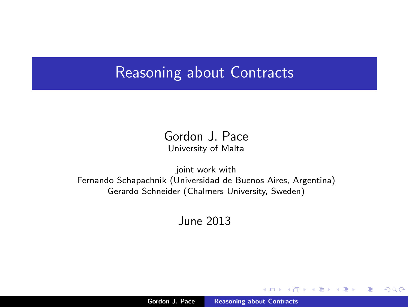### Reasoning about Contracts

Gordon J. Pace University of Malta

joint work with Fernando Schapachnik (Universidad de Buenos Aires, Argentina) Gerardo Schneider (Chalmers University, Sweden)

June 2013

 $($   $\Box$   $\rightarrow$   $($  $\Box$   $\rightarrow$ 

 $2Q$ 

<span id="page-0-0"></span>扂

 $\left\{ \begin{array}{c} 1 \end{array} \right.$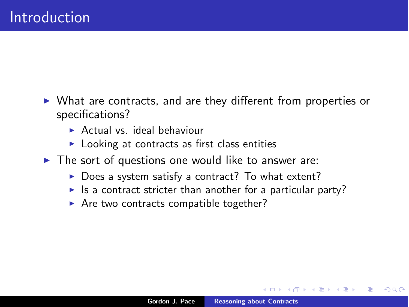- $\triangleright$  What are contracts, and are they different from properties or specifications?
	- $\triangleright$  Actual vs. ideal behaviour
	- $\blacktriangleright$  Looking at contracts as first class entities
- $\triangleright$  The sort of questions one would like to answer are:
	- $\triangleright$  Does a system satisfy a contract? To what extent?
	- If Is a contract stricter than another for a particular party?
	- $\triangleright$  Are two contracts compatible together?

∽≏ດ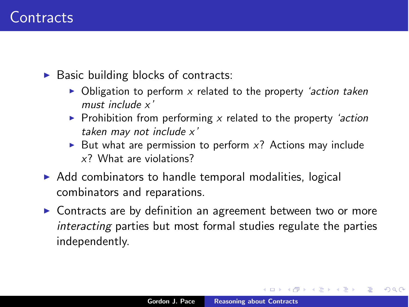$\triangleright$  Basic building blocks of contracts:

- ▶ Obligation to perform *x* related to the property *'action taken must include x'*
- ▶ Prohibition from performing *x* related to the property *'action taken may not include x'*
- But what are permission to perform  $x$ ? Actions may include *x*? What are violations?
- $\triangleright$  Add combinators to handle temporal modalities, logical combinators and reparations.
- $\triangleright$  Contracts are by definition an agreement between two or more *interacting* parties but most formal studies regulate the parties independently.

 $4.11 \times 4.60 \times 4.71 \times$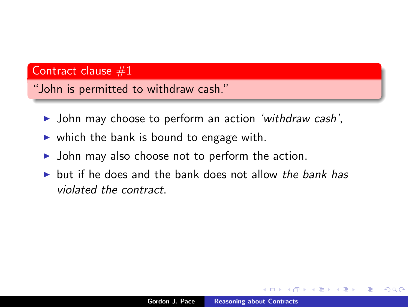#### Contract clause  $#1$

"John is permitted to withdraw cash."

- ▶ John may choose to perform an action *'withdraw cash'*,
- $\triangleright$  which the bank is bound to engage with.
- $\triangleright$  John may also choose not to perform the action.
- **If** but if he does and the bank does not allow *the bank has violated the contract*.

へのへ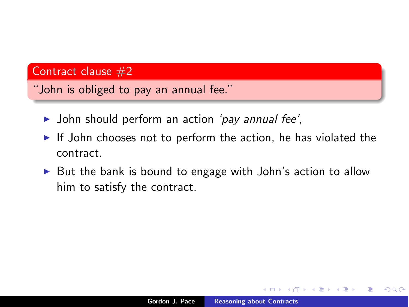#### Contract clause  $#2$

"John is obliged to pay an annual fee."

- ▶ John should perform an action *'pay annual fee'*,
- $\triangleright$  If John chooses not to perform the action, he has violated the contract.
- $\triangleright$  But the bank is bound to engage with John's action to allow him to satisfy the contract.

つくい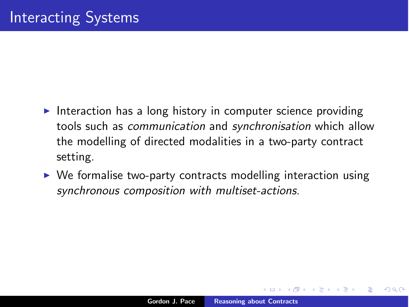- Interaction has a long history in computer science providing tools such as *communication* and *synchronisation* which allow the modelling of directed modalities in a two-party contract setting.
- $\triangleright$  We formalise two-party contracts modelling interaction using *synchronous composition with multiset-actions*.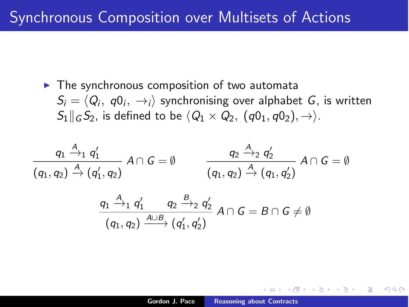$\blacktriangleright$  The synchronous composition of two automata  $S_i = \langle Q_i, q_0, \rightarrow_i \rangle$  synchronising over alphabet *G*, is written  $S_1 \parallel G_2$  *s*. is defined to be  $\langle Q_1 \times Q_2, (q0_1, q0_2), \rightarrow \rangle$ .

$$
\frac{q_1 \xrightarrow{A} q'_1}{(q_1, q_2) \xrightarrow{A} (q'_1, q_2)} A \cap G = \emptyset \qquad \qquad \frac{q_2 \xrightarrow{A} q'_2}{(q_1, q_2) \xrightarrow{A} (q_1, q'_2)} A \cap G = \emptyset
$$

$$
\frac{q_1 \stackrel{A}{\rightarrow}_1 q'_1}{(q_1, q_2) \stackrel{A \cup B}{\longrightarrow} (q'_1, q'_2)} A \cap G = B \cap G \neq \emptyset
$$

 $\Omega$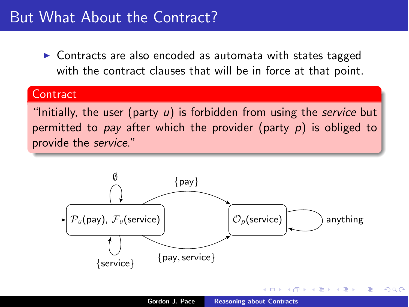## But What About the Contract?

 $\triangleright$  Contracts are also encoded as automata with states tagged with the contract clauses that will be in force at that point.

#### **Contract**

"Initially, the user (party *u*) is forbidden from using the *service* but permitted to *pay* after which the provider (party *p*) is obliged to provide the *service*."



へのへ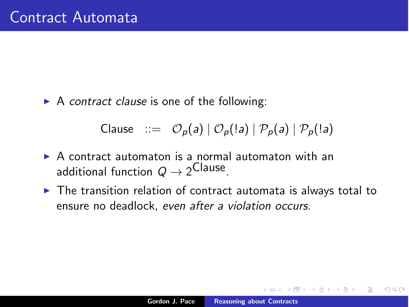▶ A *contract clause* is one of the following:

Clause ::=  $\mathcal{O}_p(a) | \mathcal{O}_p(la) | \mathcal{P}_p(a) | \mathcal{P}_p(la)$ 

- $\triangleright$  A contract automaton is a normal automaton with an additional function  $Q \rightarrow 2^{\text{Clause}}$ .
- $\triangleright$  The transition relation of contract automata is always total to ensure no deadlock, *even after a violation occurs*.

へのへ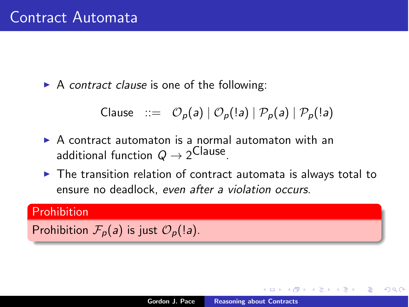▶ A *contract clause* is one of the following:

$$
\text{Clause} \quad ::= \quad \mathcal{O}_p(a) \mid \mathcal{O}_p(!a) \mid \mathcal{P}_p(a) \mid \mathcal{P}_p(!a)
$$

- $\triangleright$  A contract automaton is a normal automaton with an additional function  $Q \rightarrow 2^{\text{Clause}}$ .
- $\triangleright$  The transition relation of contract automata is always total to ensure no deadlock, *even after a violation occurs*.

#### Prohibition

Prohibition  $\mathcal{F}_p(a)$  is just  $\mathcal{O}_p(|a)$ .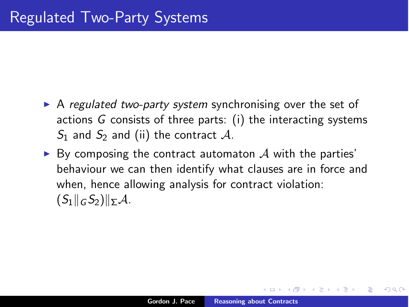- ▶ A *regulated two-party system* synchronising over the set of actions *G* consists of three parts: (i) the interacting systems  $S_1$  and  $S_2$  and (ii) the contract A.
- $\triangleright$  By composing the contract automaton  $\mathcal A$  with the parties' behaviour we can then identify what clauses are in force and when, hence allowing analysis for contract violation:  $(S_1||_G S_2)||_{\Sigma} A$ .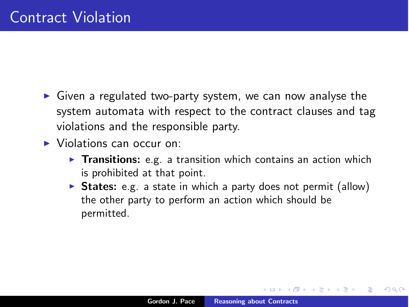- $\triangleright$  Given a regulated two-party system, we can now analyse the system automata with respect to the contract clauses and tag violations and the responsible party.
- $\triangleright$  Violations can occur on:
	- $\triangleright$  Transitions: e.g. a transition which contains an action which is prohibited at that point.
	- $\triangleright$  States: e.g. a state in which a party does not permit (allow) the other party to perform an action which should be permitted.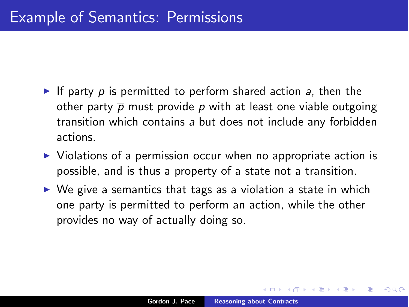- If party  $p$  is permitted to perform shared action  $q$ , then the other party  $\bar{p}$  must provide  $p$  with at least one viable outgoing transition which contains *a* but does not include any forbidden actions.
- $\triangleright$  Violations of a permission occur when no appropriate action is possible, and is thus a property of a state not a transition.
- $\triangleright$  We give a semantics that tags as a violation a state in which one party is permitted to perform an action, while the other provides no way of actually doing so.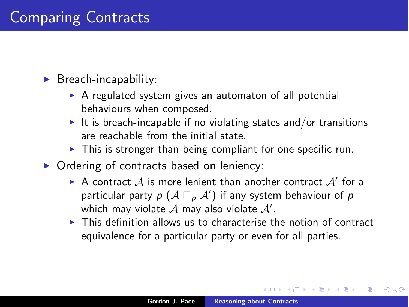### $\blacktriangleright$  Breach-incapability:

- $\triangleright$  A regulated system gives an automaton of all potential behaviours when composed.
- It is breach-incapable if no violating states and/or transitions are reachable from the initial state.
- $\triangleright$  This is stronger than being compliant for one specific run.
- $\triangleright$  Ordering of contracts based on leniency:
	- $\triangleright$  A contract A is more lenient than another contract A' for a particular party  $p$   $(A \sqsubseteq_p A')$  if any system behaviour of  $p$ which may violate  ${\mathcal A}$  may also violate  ${\mathcal A}'$ .
	- $\triangleright$  This definition allows us to characterise the notion of contract equivalence for a particular party or even for all parties.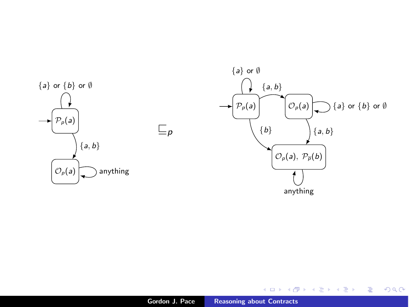

 $\sqsubseteq_{p}$ 



メロメ メ都 メメ きょくきょう

 $299$ 

È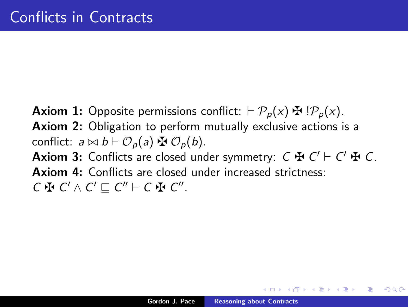**Axiom 1:** Opposite permissions conflict:  $\vdash \mathcal{P}_p(x) \oplus \mathcal{P}_p(x)$ . Axiom 2: Obligation to perform mutually exclusive actions is a conflict:  $a \bowtie b \vdash \mathcal{O}_p(a) \oplus \mathcal{O}_p(b)$ . **Axiom 3:** Conflicts are closed under symmetry:  $C \nrightarrow C' \vdash C' \nrightarrow C$ . Axiom 4: Conflicts are closed under increased strictness:  $C \oplus C' \wedge C' \sqsubset C'' \vdash C \oplus C''$ .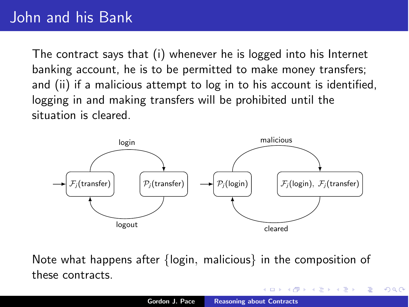# John and his Bank

The contract says that (i) whenever he is logged into his Internet banking account, he is to be permitted to make money transfers; and (ii) if a malicious attempt to log in to his account is identified, logging in and making transfers will be prohibited until the situation is cleared.



Note what happens after *{*login*,* malicious*}* in the composition of these contracts.

 $2Q$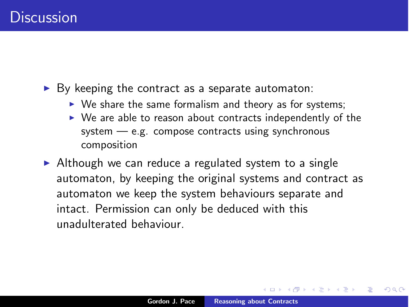$\triangleright$  By keeping the contract as a separate automaton:

- $\triangleright$  We share the same formalism and theory as for systems;
- $\triangleright$  We are able to reason about contracts independently of the system — e.g. compose contracts using synchronous composition

 $\triangleright$  Although we can reduce a regulated system to a single automaton, by keeping the original systems and contract as automaton we keep the system behaviours separate and intact. Permission can only be deduced with this unadulterated behaviour.